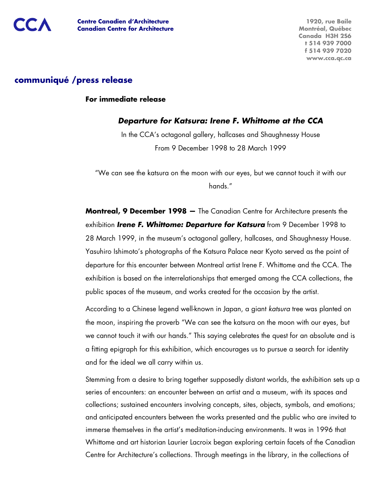

# **communiqué /press release**

## **For immediate release**

## **Departure for Katsura: Irene F. Whittome at the CCA**

In the CCA's octagonal gallery, hallcases and Shaughnessy House From 9 December 1998 to 28 March 1999

"We can see the katsura on the moon with our eyes, but we cannot touch it with our hands."

**Montreal, 9 December 1998 —** The Canadian Centre for Architecture presents the exhibition **Irene F. Whittome: Departure for Katsura** from 9 December 1998 to 28 March 1999, in the museum's octagonal gallery, hallcases, and Shaughnessy House. Yasuhiro Ishimoto's photographs of the Katsura Palace near Kyoto served as the point of departure for this encounter between Montreal artist Irene F. Whittome and the CCA. The exhibition is based on the interrelationships that emerged among the CCA collections, the public spaces of the museum, and works created for the occasion by the artist.

According to a Chinese legend well-known in Japan, a giant katsura tree was planted on the moon, inspiring the proverb "We can see the katsura on the moon with our eyes, but we cannot touch it with our hands." This saying celebrates the quest for an absolute and is a fitting epigraph for this exhibition, which encourages us to pursue a search for identity and for the ideal we all carry within us.

Stemming from a desire to bring together supposedly distant worlds, the exhibition sets up a series of encounters: an encounter between an artist and a museum, with its spaces and collections; sustained encounters involving concepts, sites, objects, symbols, and emotions; and anticipated encounters between the works presented and the public who are invited to immerse themselves in the artist's meditation-inducing environments. It was in 1996 that Whittome and art historian Laurier Lacroix began exploring certain facets of the Canadian Centre for Architecture's collections. Through meetings in the library, in the collections of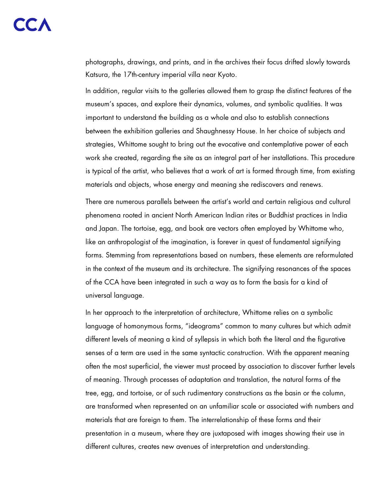photographs, drawings, and prints, and in the archives their focus drifted slowly towards Katsura, the 17th-century imperial villa near Kyoto.

In addition, regular visits to the galleries allowed them to grasp the distinct features of the museum's spaces, and explore their dynamics, volumes, and symbolic qualities. It was important to understand the building as a whole and also to establish connections between the exhibition galleries and Shaughnessy House. In her choice of subjects and strategies, Whittome sought to bring out the evocative and contemplative power of each work she created, regarding the site as an integral part of her installations. This procedure is typical of the artist, who believes that a work of art is formed through time, from existing materials and objects, whose energy and meaning she rediscovers and renews.

There are numerous parallels between the artist's world and certain religious and cultural phenomena rooted in ancient North American Indian rites or Buddhist practices in India and Japan. The tortoise, egg, and book are vectors often employed by Whittome who, like an anthropologist of the imagination, is forever in quest of fundamental signifying forms. Stemming from representations based on numbers, these elements are reformulated in the context of the museum and its architecture. The signifying resonances of the spaces of the CCA have been integrated in such a way as to form the basis for a kind of universal language.

In her approach to the interpretation of architecture, Whittome relies on a symbolic language of homonymous forms, "ideograms" common to many cultures but which admit different levels of meaning a kind of syllepsis in which both the literal and the figurative senses of a term are used in the same syntactic construction. With the apparent meaning often the most superficial, the viewer must proceed by association to discover further levels of meaning. Through processes of adaptation and translation, the natural forms of the tree, egg, and tortoise, or of such rudimentary constructions as the basin or the column, are transformed when represented on an unfamiliar scale or associated with numbers and materials that are foreign to them. The interrelationship of these forms and their presentation in a museum, where they are juxtaposed with images showing their use in different cultures, creates new avenues of interpretation and understanding.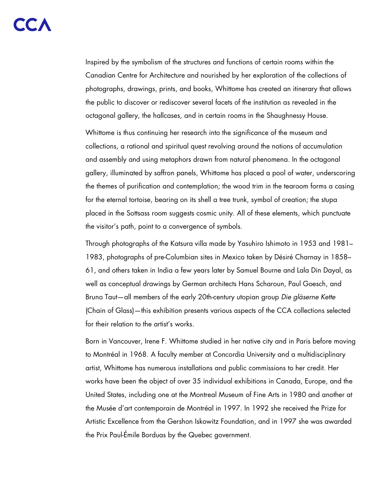Inspired by the symbolism of the structures and functions of certain rooms within the Canadian Centre for Architecture and nourished by her exploration of the collections of photographs, drawings, prints, and books, Whittome has created an itinerary that allows the public to discover or rediscover several facets of the institution as revealed in the octagonal gallery, the hallcases, and in certain rooms in the Shaughnessy House.

Whittome is thus continuing her research into the significance of the museum and collections, a rational and spiritual quest revolving around the notions of accumulation and assembly and using metaphors drawn from natural phenomena. In the octagonal gallery, illuminated by saffron panels, Whittome has placed a pool of water, underscoring the themes of purification and contemplation; the wood trim in the tearoom forms a casing for the eternal tortoise, bearing on its shell a tree trunk, symbol of creation; the stupa placed in the Sottsass room suggests cosmic unity. All of these elements, which punctuate the visitor's path, point to a convergence of symbols.

Through photographs of the Katsura villa made by Yasuhiro Ishimoto in 1953 and 1981– 1983, photographs of pre-Columbian sites in Mexico taken by Désiré Charnay in 1858– 61, and others taken in India a few years later by Samuel Bourne and Lala Din Dayal, as well as conceptual drawings by German architects Hans Scharoun, Paul Goesch, and Bruno Taut—all members of the early 20th-century utopian group Die <sup>g</sup>läserne Kette (Chain of Glass)—this exhibition presents various aspects of the CCA collections selected for their relation to the artist's works.

Born in Vancouver, Irene F. Whittome studied in her native city and in Paris before moving to Montréal in 1968. A faculty member at Concordia University and a multidisciplinary artist, Whittome has numerous installations and public commissions to her credit. Her works have been the object of over 35 individual exhibitions in Canada, Europe, and the United States, including one at the Montreal Museum of Fine Arts in 1980 and another at the Musée d'art contemporain de Montréal in 1997. In 1992 she received the Prize for Artistic Excellence from the Gershon Iskowitz Foundation, and in 1997 she was awarded the Prix Paul-Émile Borduas by the Quebec government.